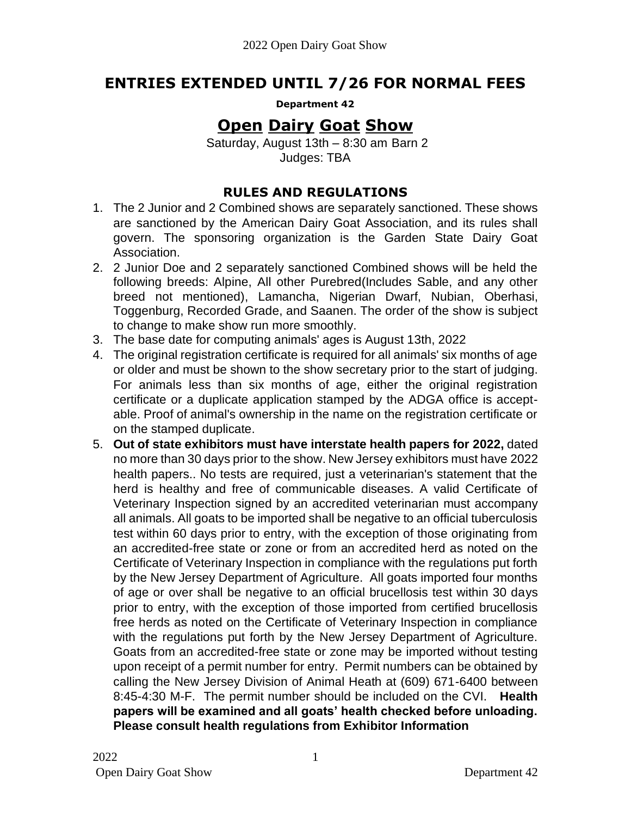# **ENTRIES EXTENDED UNTIL 7/26 FOR NORMAL FEES**

**Department 42** 

# **Open Dairy Goat Show**

Saturday, August 13th – 8:30 am Barn 2 Judges: TBA

## **RULES AND REGULATIONS**

- 1. The 2 Junior and 2 Combined shows are separately sanctioned. These shows are sanctioned by the American Dairy Goat Association, and its rules shall govern. The sponsoring organization is the Garden State Dairy Goat Association.
- 2. 2 Junior Doe and 2 separately sanctioned Combined shows will be held the following breeds: Alpine, All other Purebred(Includes Sable, and any other breed not mentioned), Lamancha, Nigerian Dwarf, Nubian, Oberhasi, Toggenburg, Recorded Grade, and Saanen. The order of the show is subject to change to make show run more smoothly.
- 3. The base date for computing animals' ages is August 13th, 2022
- 4. The original registration certificate is required for all animals' six months of age or older and must be shown to the show secretary prior to the start of judging. For animals less than six months of age, either the original registration certificate or a duplicate application stamped by the ADGA office is acceptable. Proof of animal's ownership in the name on the registration certificate or on the stamped duplicate.
- 5. **Out of state exhibitors must have interstate health papers for 2022,** dated no more than 30 days prior to the show. New Jersey exhibitors must have 2022 health papers.. No tests are required, just a veterinarian's statement that the herd is healthy and free of communicable diseases. A valid Certificate of Veterinary Inspection signed by an accredited veterinarian must accompany all animals. All goats to be imported shall be negative to an official tuberculosis test within 60 days prior to entry, with the exception of those originating from an accredited-free state or zone or from an accredited herd as noted on the Certificate of Veterinary Inspection in compliance with the regulations put forth by the New Jersey Department of Agriculture. All goats imported four months of age or over shall be negative to an official brucellosis test within 30 days prior to entry, with the exception of those imported from certified brucellosis free herds as noted on the Certificate of Veterinary Inspection in compliance with the regulations put forth by the New Jersey Department of Agriculture. Goats from an accredited-free state or zone may be imported without testing upon receipt of a permit number for entry. Permit numbers can be obtained by calling the New Jersey Division of Animal Heath at (609) 671-6400 between 8:45-4:30 M-F. The permit number should be included on the CVI. **Health papers will be examined and all goats' health checked before unloading. Please consult health regulations from Exhibitor Information**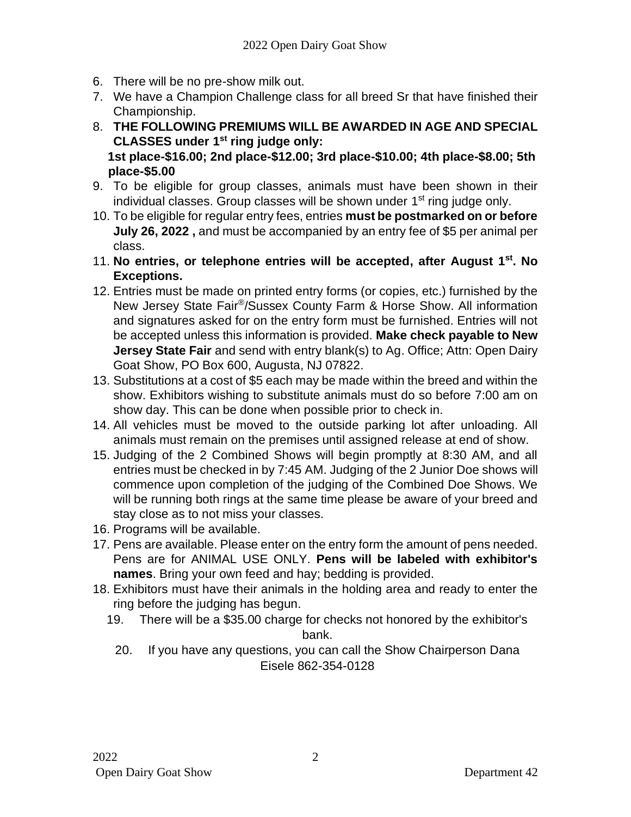- 6. There will be no pre-show milk out.
- 7. We have a Champion Challenge class for all breed Sr that have finished their Championship.
- 8. **THE FOLLOWING PREMIUMS WILL BE AWARDED IN AGE AND SPECIAL CLASSES under 1 st ring judge only: 1st place-\$16.00; 2nd place-\$12.00; 3rd place-\$10.00; 4th place-\$8.00; 5th place-\$5.00**
- 9. To be eligible for group classes, animals must have been shown in their individual classes. Group classes will be shown under 1<sup>st</sup> ring judge only.
- 10. To be eligible for regular entry fees, entries **must be postmarked on or before July 26, 2022 ,** and must be accompanied by an entry fee of \$5 per animal per class.
- 11. **No entries, or telephone entries will be accepted, after August 1st . No Exceptions.**
- 12. Entries must be made on printed entry forms (or copies, etc.) furnished by the New Jersey State Fair<sup>®</sup>/Sussex County Farm & Horse Show. All information and signatures asked for on the entry form must be furnished. Entries will not be accepted unless this information is provided. **Make check payable to New Jersey State Fair** and send with entry blank(s) to Ag. Office; Attn: Open Dairy Goat Show, PO Box 600, Augusta, NJ 07822.
- 13. Substitutions at a cost of \$5 each may be made within the breed and within the show. Exhibitors wishing to substitute animals must do so before 7:00 am on show day. This can be done when possible prior to check in.
- 14. All vehicles must be moved to the outside parking lot after unloading. All animals must remain on the premises until assigned release at end of show.
- 15. Judging of the 2 Combined Shows will begin promptly at 8:30 AM, and all entries must be checked in by 7:45 AM. Judging of the 2 Junior Doe shows will commence upon completion of the judging of the Combined Doe Shows. We will be running both rings at the same time please be aware of your breed and stay close as to not miss your classes.
- 16. Programs will be available.
- 17. Pens are available. Please enter on the entry form the amount of pens needed. Pens are for ANIMAL USE ONLY. **Pens will be labeled with exhibitor's names**. Bring your own feed and hay; bedding is provided.
- 18. Exhibitors must have their animals in the holding area and ready to enter the ring before the judging has begun.
	- 19. There will be a \$35.00 charge for checks not honored by the exhibitor's bank.
		- 20. If you have any questions, you can call the Show Chairperson Dana Eisele 862-354-0128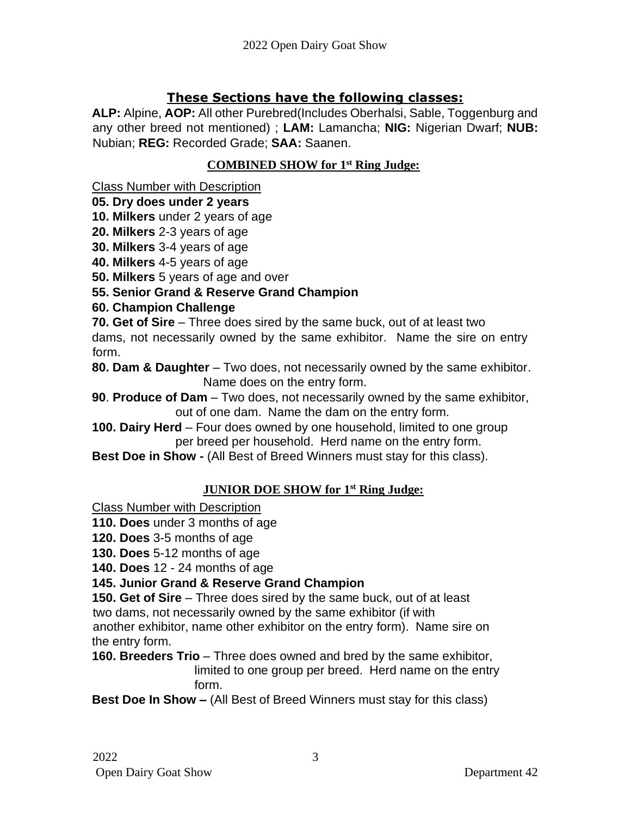# **These Sections have the following classes:**

**ALP:** Alpine, **AOP:** All other Purebred(Includes Oberhalsi, Sable, Toggenburg and any other breed not mentioned) ; **LAM:** Lamancha; **NIG:** Nigerian Dwarf; **NUB:**  Nubian; **REG:** Recorded Grade; **SAA:** Saanen.

## **COMBINED SHOW for 1 st Ring Judge:**

Class Number with Description

### **05. Dry does under 2 years**

- **10. Milkers** under 2 years of age
- **20. Milkers** 2-3 years of age
- **30. Milkers** 3-4 years of age
- **40. Milkers** 4-5 years of age
- **50. Milkers** 5 years of age and over
- **55. Senior Grand & Reserve Grand Champion**

# **60. Champion Challenge**

**70. Get of Sire** – Three does sired by the same buck, out of at least two dams, not necessarily owned by the same exhibitor. Name the sire on entry form.

**80. Dam & Daughter** – Two does, not necessarily owned by the same exhibitor. Name does on the entry form.

- **90**. **Produce of Dam** Two does, not necessarily owned by the same exhibitor, out of one dam. Name the dam on the entry form.
- **100. Dairy Herd** Four does owned by one household, limited to one group per breed per household. Herd name on the entry form.
- **Best Doe in Show -** (All Best of Breed Winners must stay for this class).

# **JUNIOR DOE SHOW for 1 st Ring Judge:**

Class Number with Description

**110. Does** under 3 months of age

**120. Does** 3-5 months of age

**130. Does** 5-12 months of age

**140. Does** 12 - 24 months of age

# **145. Junior Grand & Reserve Grand Champion**

**150. Get of Sire** – Three does sired by the same buck, out of at least two dams, not necessarily owned by the same exhibitor (if with

another exhibitor, name other exhibitor on the entry form). Name sire on the entry form.

**160. Breeders Trio** – Three does owned and bred by the same exhibitor,

limited to one group per breed. Herd name on the entry form.

### **Best Doe In Show –** (All Best of Breed Winners must stay for this class)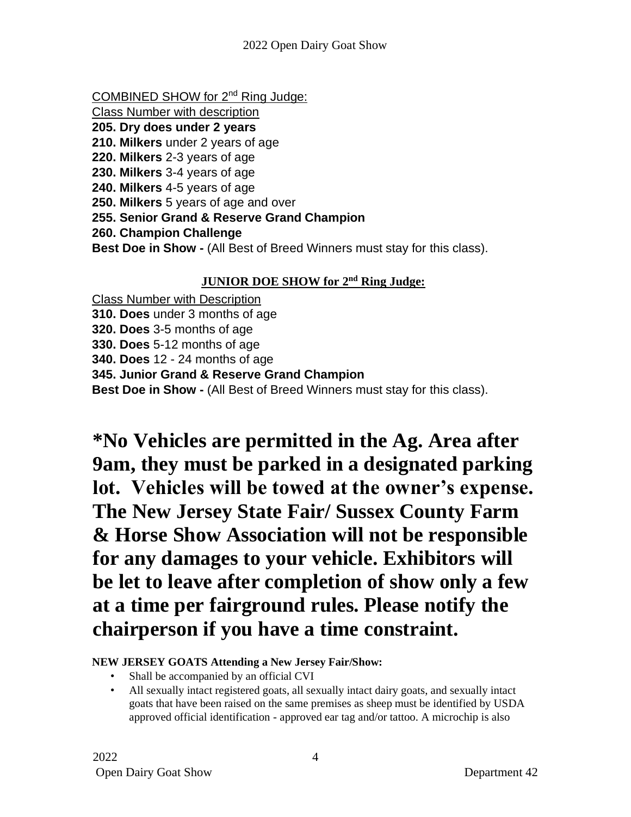- COMBINED SHOW for 2<sup>nd</sup> Ring Judge:
- Class Number with description
- **205. Dry does under 2 years**
- **210. Milkers** under 2 years of age
- **220. Milkers** 2-3 years of age
- **230. Milkers** 3-4 years of age
- **240. Milkers** 4-5 years of age
- **250. Milkers** 5 years of age and over
- **255. Senior Grand & Reserve Grand Champion**
- **260. Champion Challenge**
- **Best Doe in Show -** (All Best of Breed Winners must stay for this class).

### **JUNIOR DOE SHOW for 2<sup>nd</sup> Ring Judge:**

Class Number with Description **310. Does** under 3 months of age **320. Does** 3-5 months of age **330. Does** 5-12 months of age **340. Does** 12 - 24 months of age **345. Junior Grand & Reserve Grand Champion Best Doe in Show -** (All Best of Breed Winners must stay for this class).

**\*No Vehicles are permitted in the Ag. Area after 9am, they must be parked in a designated parking lot. Vehicles will be towed at the owner's expense. The New Jersey State Fair/ Sussex County Farm & Horse Show Association will not be responsible for any damages to your vehicle. Exhibitors will be let to leave after completion of show only a few at a time per fairground rules. Please notify the chairperson if you have a time constraint.** 

### **NEW JERSEY GOATS Attending a New Jersey Fair/Show:**

- Shall be accompanied by an official CVI
- All sexually intact registered goats, all sexually intact dairy goats, and sexually intact goats that have been raised on the same premises as sheep must be identified by USDA approved official identification - approved ear tag and/or tattoo. A microchip is also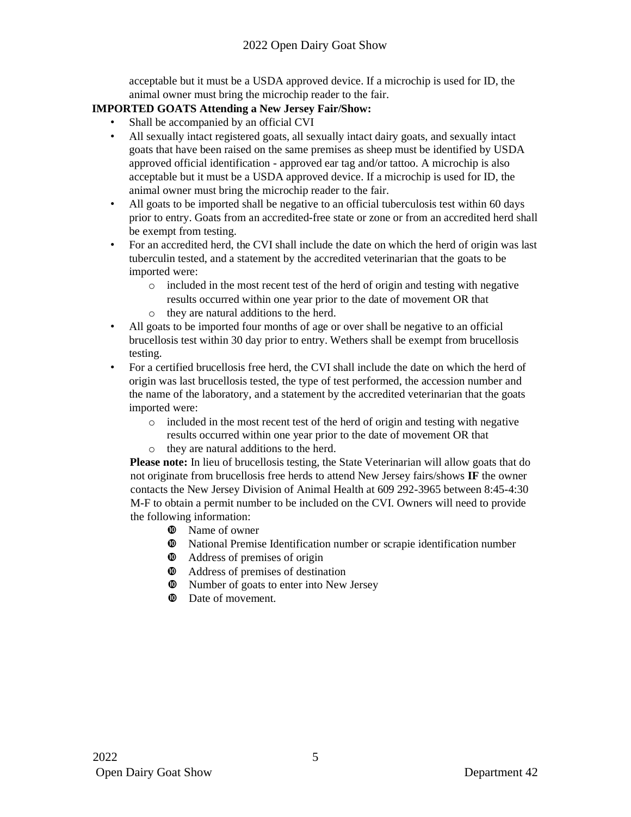acceptable but it must be a USDA approved device. If a microchip is used for ID, the animal owner must bring the microchip reader to the fair.

### **IMPORTED GOATS Attending a New Jersey Fair/Show:**

- Shall be accompanied by an official CVI
- All sexually intact registered goats, all sexually intact dairy goats, and sexually intact goats that have been raised on the same premises as sheep must be identified by USDA approved official identification - approved ear tag and/or tattoo. A microchip is also acceptable but it must be a USDA approved device. If a microchip is used for ID, the animal owner must bring the microchip reader to the fair.
- All goats to be imported shall be negative to an official tuberculosis test within 60 days prior to entry. Goats from an accredited-free state or zone or from an accredited herd shall be exempt from testing.
- For an accredited herd, the CVI shall include the date on which the herd of origin was last tuberculin tested, and a statement by the accredited veterinarian that the goats to be imported were:
	- $\circ$  included in the most recent test of the herd of origin and testing with negative results occurred within one year prior to the date of movement OR that
	- o they are natural additions to the herd.
- All goats to be imported four months of age or over shall be negative to an official brucellosis test within 30 day prior to entry. Wethers shall be exempt from brucellosis testing.
- For a certified brucellosis free herd, the CVI shall include the date on which the herd of origin was last brucellosis tested, the type of test performed, the accession number and the name of the laboratory, and a statement by the accredited veterinarian that the goats imported were:
	- $\circ$  included in the most recent test of the herd of origin and testing with negative results occurred within one year prior to the date of movement OR that
	- o they are natural additions to the herd.

**Please note:** In lieu of brucellosis testing, the State Veterinarian will allow goats that do not originate from brucellosis free herds to attend New Jersey fairs/shows **IF** the owner contacts the New Jersey Division of Animal Health at 609 292-3965 between 8:45-4:30 M-F to obtain a permit number to be included on the CVI. Owners will need to provide the following information:

- $\Phi$  Name of owner
- National Premise Identification number or scrapie identification number
- Address of premises of origin
- Address of premises of destination
- $\Phi$  Number of goats to enter into New Jersey
- $\Phi$  Date of movement.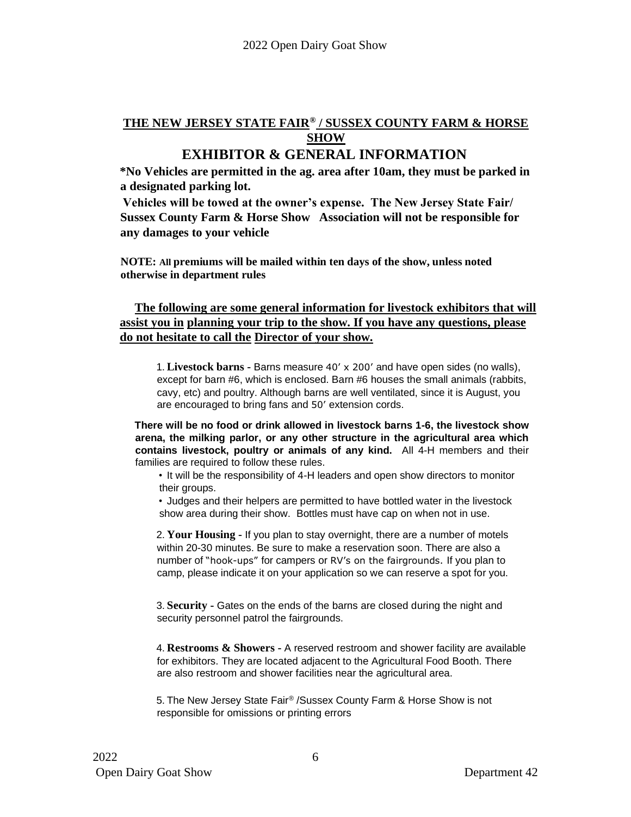# **THE NEW JERSEY STATE FAIR® / SUSSEX COUNTY FARM & HORSE SHOW**

# **EXHIBITOR & GENERAL INFORMATION**

**\*No Vehicles are permitted in the ag. area after 10am, they must be parked in a designated parking lot.** 

**Vehicles will be towed at the owner's expense. The New Jersey State Fair/ Sussex County Farm & Horse Show Association will not be responsible for any damages to your vehicle** 

**NOTE: All premiums will be mailed within ten days of the show, unless noted otherwise in department rules** 

### **The following are some general information for livestock exhibitors that will assist you in planning your trip to the show. If you have any questions, please do not hesitate to call the Director of your show.**

1. **Livestock barns -** Barns measure 40' x 200' and have open sides (no walls), except for barn #6, which is enclosed. Barn #6 houses the small animals (rabbits, cavy, etc) and poultry. Although barns are well ventilated, since it is August, you are encouraged to bring fans and 50' extension cords.

**There will be no food or drink allowed in livestock barns 1-6, the livestock show arena, the milking parlor, or any other structure in the agricultural area which contains livestock, poultry or animals of any kind.** All 4-H members and their families are required to follow these rules.

• It will be the responsibility of 4-H leaders and open show directors to monitor their groups.

• Judges and their helpers are permitted to have bottled water in the livestock show area during their show. Bottles must have cap on when not in use.

2. **Your Housing -** If you plan to stay overnight, there are a number of motels within 20-30 minutes. Be sure to make a reservation soon. There are also a number of "hook-ups" for campers or RV's on the fairgrounds. If you plan to camp, please indicate it on your application so we can reserve a spot for you.

3. **Security -** Gates on the ends of the barns are closed during the night and security personnel patrol the fairgrounds.

4. **Restrooms & Showers -** A reserved restroom and shower facility are available for exhibitors. They are located adjacent to the Agricultural Food Booth. There are also restroom and shower facilities near the agricultural area.

5. The New Jersey State Fair® /Sussex County Farm & Horse Show is not responsible for omissions or printing errors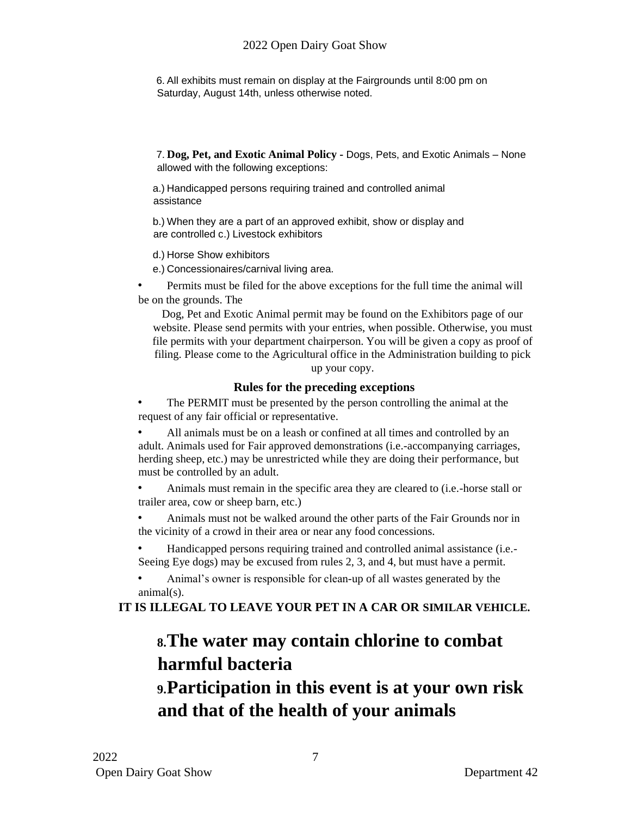6. All exhibits must remain on display at the Fairgrounds until 8:00 pm on Saturday, August 14th, unless otherwise noted.

7. **Dog, Pet, and Exotic Animal Policy -** Dogs, Pets, and Exotic Animals – None allowed with the following exceptions:

a.) Handicapped persons requiring trained and controlled animal assistance

b.) When they are a part of an approved exhibit, show or display and are controlled c.) Livestock exhibitors

d.) Horse Show exhibitors

e.) Concessionaires/carnival living area.

• Permits must be filed for the above exceptions for the full time the animal will be on the grounds. The

Dog, Pet and Exotic Animal permit may be found on the Exhibitors page of our website. Please send permits with your entries, when possible. Otherwise, you must file permits with your department chairperson. You will be given a copy as proof of filing. Please come to the Agricultural office in the Administration building to pick

up your copy.

### **Rules for the preceding exceptions**

• The PERMIT must be presented by the person controlling the animal at the request of any fair official or representative.

• All animals must be on a leash or confined at all times and controlled by an adult. Animals used for Fair approved demonstrations (i.e.-accompanying carriages, herding sheep, etc.) may be unrestricted while they are doing their performance, but must be controlled by an adult.

• Animals must remain in the specific area they are cleared to (i.e.-horse stall or trailer area, cow or sheep barn, etc.)

• Animals must not be walked around the other parts of the Fair Grounds nor in the vicinity of a crowd in their area or near any food concessions.

• Handicapped persons requiring trained and controlled animal assistance (i.e.- Seeing Eye dogs) may be excused from rules 2, 3, and 4, but must have a permit.

• Animal's owner is responsible for clean-up of all wastes generated by the animal(s).

**IT IS ILLEGAL TO LEAVE YOUR PET IN A CAR OR SIMILAR VEHICLE.** 

# **8.The water may contain chlorine to combat harmful bacteria**

# **9.Participation in this event is at your own risk and that of the health of your animals**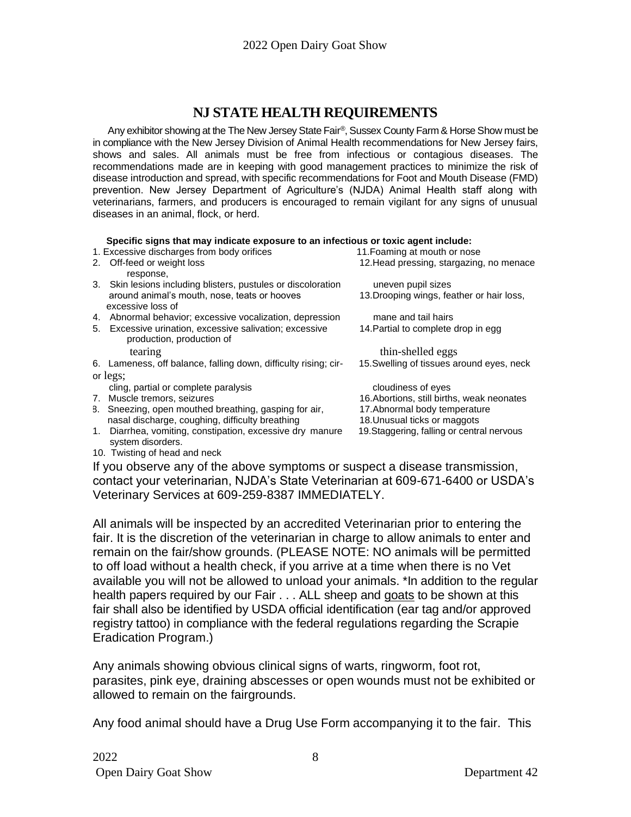# **NJ STATE HEALTH REQUIREMENTS**

Any exhibitor showing at the The New Jersey State Fair ®, Sussex County Farm & Horse Show must be in compliance with the New Jersey Division of Animal Health recommendations for New Jersey fairs, shows and sales. All animals must be free from infectious or contagious diseases. The recommendations made are in keeping with good management practices to minimize the risk of disease introduction and spread, with specific recommendations for Foot and Mouth Disease (FMD) prevention. New Jersey Department of Agriculture's (NJDA) Animal Health staff along with veterinarians, farmers, and producers is encouraged to remain vigilant for any signs of unusual diseases in an animal, flock, or herd.

#### **Specific signs that may indicate exposure to an infectious or toxic agent include:**

| <u>abaania aidiin muu mutti muraafa aybaania ta'un muaanana al' fayna udane maraafa</u> |                                                                 |                                            |
|-----------------------------------------------------------------------------------------|-----------------------------------------------------------------|--------------------------------------------|
|                                                                                         | 1. Excessive discharges from body orifices                      | 11. Foaming at mouth or nose               |
| 2.                                                                                      | Off-feed or weight loss                                         | 12. Head pressing, stargazing, no menace   |
|                                                                                         | response,                                                       |                                            |
|                                                                                         | 3. Skin lesions including blisters, pustules or discoloration   | uneven pupil sizes                         |
|                                                                                         | around animal's mouth, nose, teats or hooves                    | 13. Drooping wings, feather or hair loss,  |
|                                                                                         | excessive loss of                                               |                                            |
|                                                                                         | 4. Abnormal behavior; excessive vocalization, depression        | mane and tail hairs                        |
| 5.                                                                                      | Excessive urination, excessive salivation; excessive            | 14. Partial to complete drop in egg        |
|                                                                                         | production, production of                                       |                                            |
|                                                                                         | tearing                                                         | thin-shelled eggs                          |
|                                                                                         | 6. Lameness, off balance, falling down, difficulty rising; cir- | 15. Swelling of tissues around eyes, neck  |
| or legs;                                                                                |                                                                 |                                            |
|                                                                                         | cling, partial or complete paralysis                            | cloudiness of eyes                         |
|                                                                                         | 7. Muscle tremors, seizures                                     | 16. Abortions, still births, weak neonates |
|                                                                                         | 8. Sneezing, open mouthed breathing, gasping for air,           | 17. Abnormal body temperature              |
|                                                                                         | nasal discharge, coughing, difficulty breathing                 | 18. Unusual ticks or maggots               |
| 1.                                                                                      | Diarrhea, vomiting, constipation, excessive dry manure          | 19. Staggering, falling or central nervous |
|                                                                                         | system disorders.                                               |                                            |

10. Twisting of head and neck

If you observe any of the above symptoms or suspect a disease transmission, contact your veterinarian, NJDA's State Veterinarian at 609-671-6400 or USDA's Veterinary Services at 609-259-8387 IMMEDIATELY.

All animals will be inspected by an accredited Veterinarian prior to entering the fair. It is the discretion of the veterinarian in charge to allow animals to enter and remain on the fair/show grounds. (PLEASE NOTE: NO animals will be permitted to off load without a health check, if you arrive at a time when there is no Vet available you will not be allowed to unload your animals. \*In addition to the regular health papers required by our Fair . . . ALL sheep and goats to be shown at this fair shall also be identified by USDA official identification (ear tag and/or approved registry tattoo) in compliance with the federal regulations regarding the Scrapie Eradication Program.)

Any animals showing obvious clinical signs of warts, ringworm, foot rot, parasites, pink eye, draining abscesses or open wounds must not be exhibited or allowed to remain on the fairgrounds.

Any food animal should have a Drug Use Form accompanying it to the fair. This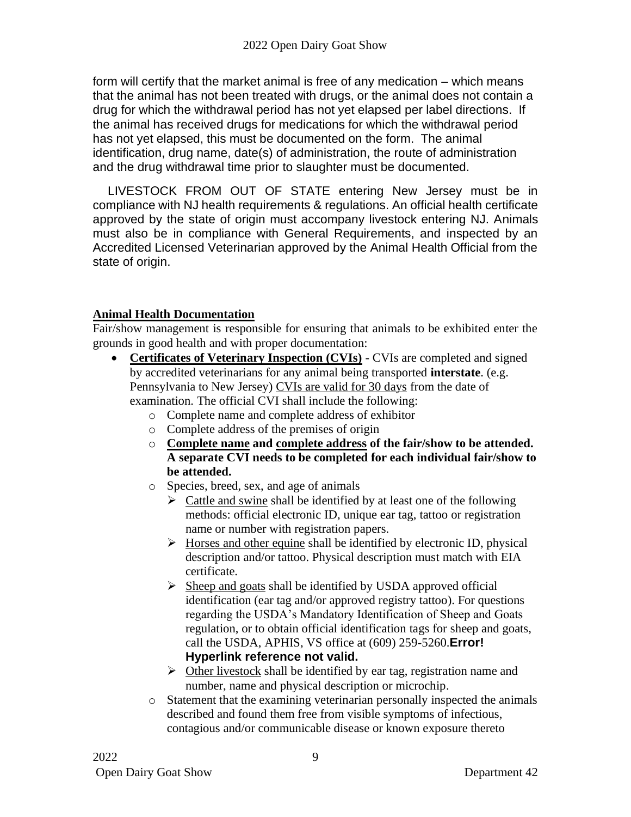form will certify that the market animal is free of any medication – which means that the animal has not been treated with drugs, or the animal does not contain a drug for which the withdrawal period has not yet elapsed per label directions. If the animal has received drugs for medications for which the withdrawal period has not yet elapsed, this must be documented on the form. The animal identification, drug name, date(s) of administration, the route of administration and the drug withdrawal time prior to slaughter must be documented.

LIVESTOCK FROM OUT OF STATE entering New Jersey must be in compliance with NJ health requirements & regulations. An official health certificate approved by the state of origin must accompany livestock entering NJ. Animals must also be in compliance with General Requirements, and inspected by an Accredited Licensed Veterinarian approved by the Animal Health Official from the state of origin.

### **Animal Health Documentation**

Fair/show management is responsible for ensuring that animals to be exhibited enter the grounds in good health and with proper documentation:

- **Certificates of Veterinary Inspection (CVIs)** CVIs are completed and signed by accredited veterinarians for any animal being transported **interstate**. (e.g. Pennsylvania to New Jersey) CVIs are valid for 30 days from the date of examination. The official CVI shall include the following:
	- o Complete name and complete address of exhibitor
	- o Complete address of the premises of origin
	- o **Complete name and complete address of the fair/show to be attended. A separate CVI needs to be completed for each individual fair/show to be attended.**
	- o Species, breed, sex, and age of animals
		- $\triangleright$  Cattle and swine shall be identified by at least one of the following methods: official electronic ID, unique ear tag, tattoo or registration name or number with registration papers.
		- $\triangleright$  Horses and other equine shall be identified by electronic ID, physical description and/or tattoo. Physical description must match with EIA certificate.
		- $\triangleright$  Sheep and goats shall be identified by USDA approved official identification (ear tag and/or approved registry tattoo). For questions regarding the USDA's Mandatory Identification of Sheep and Goats regulation, or to obtain official identification tags for sheep and goats, call the USDA, APHIS, VS office at (609) 259-5260.**Error! Hyperlink reference not valid.**
		- $\triangleright$  Other livestock shall be identified by ear tag, registration name and number, name and physical description or microchip.
	- o Statement that the examining veterinarian personally inspected the animals described and found them free from visible symptoms of infectious, contagious and/or communicable disease or known exposure thereto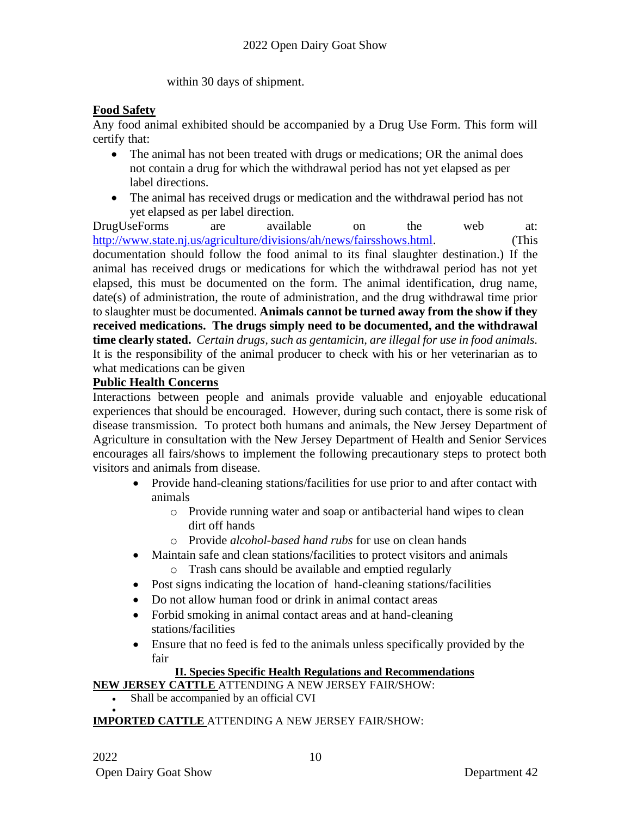within 30 days of shipment.

### **Food Safety**

Any food animal exhibited should be accompanied by a Drug Use Form. This form will certify that:

- The animal has not been treated with drugs or medications; OR the animal does not contain a drug for which the withdrawal period has not yet elapsed as per label directions.
- The animal has received drugs or medication and the withdrawal period has not yet elapsed as per label direction.

DrugUseForms are available on the web at: [http://www.state.nj.us/agriculture/divisions/ah/news/fairsshows.html.](http://www.state.nj.us/agriculture/divisions/ah/news/fairsshows.html) (This documentation should follow the food animal to its final slaughter destination.) If the animal has received drugs or medications for which the withdrawal period has not yet elapsed, this must be documented on the form. The animal identification, drug name, date(s) of administration, the route of administration, and the drug withdrawal time prior to slaughter must be documented. **Animals cannot be turned away from the show if they received medications. The drugs simply need to be documented, and the withdrawal time clearly stated.** *Certain drugs, such as gentamicin, are illegal for use in food animals.* It is the responsibility of the animal producer to check with his or her veterinarian as to what medications can be given

### **Public Health Concerns**

Interactions between people and animals provide valuable and enjoyable educational experiences that should be encouraged. However, during such contact, there is some risk of disease transmission. To protect both humans and animals, the New Jersey Department of Agriculture in consultation with the New Jersey Department of Health and Senior Services encourages all fairs/shows to implement the following precautionary steps to protect both visitors and animals from disease.

- Provide hand-cleaning stations/facilities for use prior to and after contact with animals
	- o Provide running water and soap or antibacterial hand wipes to clean dirt off hands
	- o Provide *alcohol-based hand rubs* for use on clean hands
- Maintain safe and clean stations/facilities to protect visitors and animals
	- o Trash cans should be available and emptied regularly
- Post signs indicating the location of hand-cleaning stations/facilities
- Do not allow human food or drink in animal contact areas
- Forbid smoking in animal contact areas and at hand-cleaning stations/facilities
- Ensure that no feed is fed to the animals unless specifically provided by the fair

### **II. Species Specific Health Regulations and Recommendations**

**NEW JERSEY CATTLE** ATTENDING A NEW JERSEY FAIR/SHOW:

• Shall be accompanied by an official CVI

#### • **IMPORTED CATTLE** ATTENDING A NEW JERSEY FAIR/SHOW: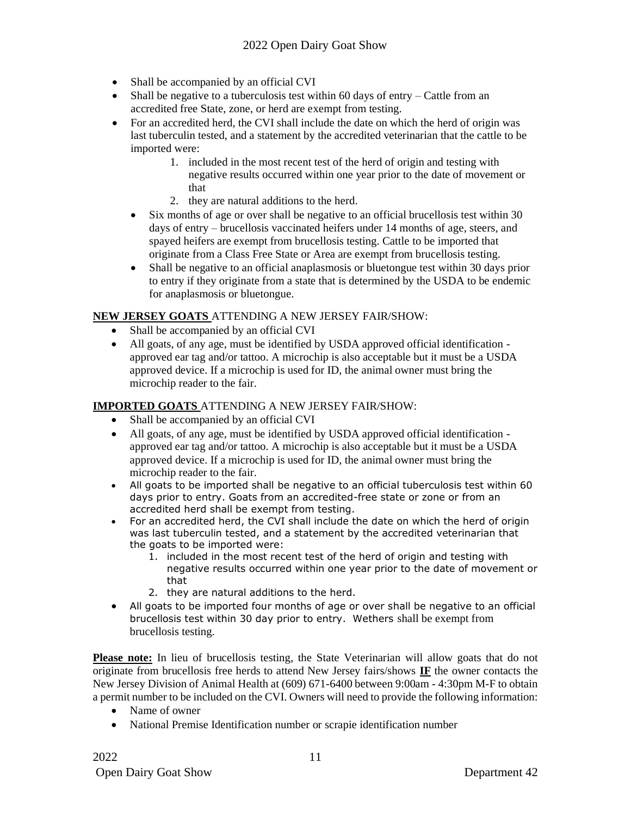- Shall be accompanied by an official CVI
- Shall be negative to a tuberculosis test within 60 days of entry Cattle from an accredited free State, zone, or herd are exempt from testing.
- For an accredited herd, the CVI shall include the date on which the herd of origin was last tuberculin tested, and a statement by the accredited veterinarian that the cattle to be imported were:
	- 1. included in the most recent test of the herd of origin and testing with negative results occurred within one year prior to the date of movement or that
	- 2. they are natural additions to the herd.
	- Six months of age or over shall be negative to an official brucellosis test within 30 days of entry – brucellosis vaccinated heifers under 14 months of age, steers, and spayed heifers are exempt from brucellosis testing. Cattle to be imported that originate from a Class Free State or Area are exempt from brucellosis testing.
	- Shall be negative to an official anaplasmosis or bluetongue test within 30 days prior to entry if they originate from a state that is determined by the USDA to be endemic for anaplasmosis or bluetongue.

#### **NEW JERSEY GOATS** ATTENDING A NEW JERSEY FAIR/SHOW:

- Shall be accompanied by an official CVI
- All goats, of any age, must be identified by USDA approved official identification approved ear tag and/or tattoo. A microchip is also acceptable but it must be a USDA approved device. If a microchip is used for ID, the animal owner must bring the microchip reader to the fair.

#### **IMPORTED GOATS** ATTENDING A NEW JERSEY FAIR/SHOW:

- Shall be accompanied by an official CVI
- All goats, of any age, must be identified by USDA approved official identification approved ear tag and/or tattoo. A microchip is also acceptable but it must be a USDA approved device. If a microchip is used for ID, the animal owner must bring the microchip reader to the fair.
- All goats to be imported shall be negative to an official tuberculosis test within 60 days prior to entry. Goats from an accredited-free state or zone or from an accredited herd shall be exempt from testing.
- For an accredited herd, the CVI shall include the date on which the herd of origin was last tuberculin tested, and a statement by the accredited veterinarian that the goats to be imported were:
	- 1. included in the most recent test of the herd of origin and testing with negative results occurred within one year prior to the date of movement or that
	- 2. they are natural additions to the herd.
- All goats to be imported four months of age or over shall be negative to an official brucellosis test within 30 day prior to entry. Wethers shall be exempt from brucellosis testing.

Please note: In lieu of brucellosis testing, the State Veterinarian will allow goats that do not originate from brucellosis free herds to attend New Jersey fairs/shows **IF** the owner contacts the New Jersey Division of Animal Health at (609) 671-6400 between 9:00am - 4:30pm M-F to obtain a permit number to be included on the CVI. Owners will need to provide the following information:

- Name of owner
- National Premise Identification number or scrapie identification number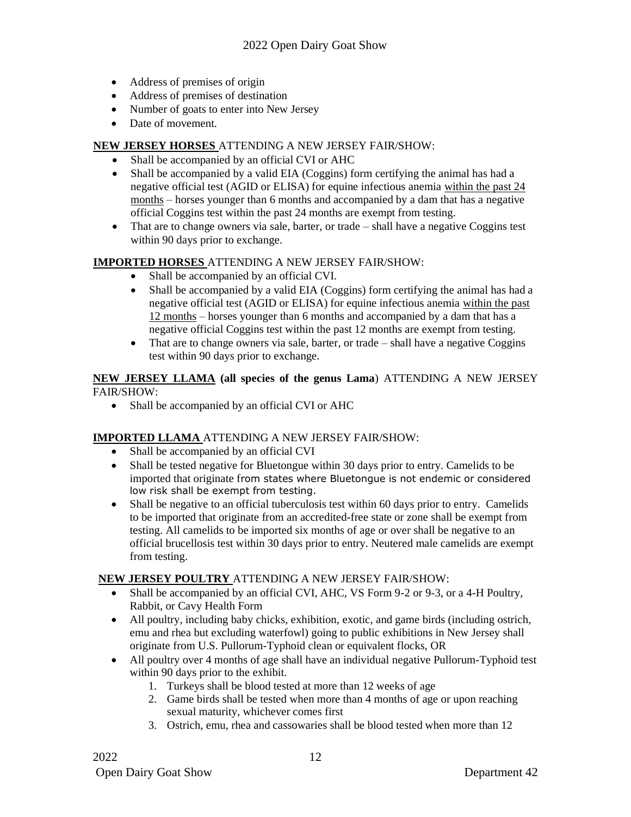- Address of premises of origin
- Address of premises of destination
- Number of goats to enter into New Jersey
- Date of movement.

#### **NEW JERSEY HORSES** ATTENDING A NEW JERSEY FAIR/SHOW:

- Shall be accompanied by an official CVI or AHC
- Shall be accompanied by a valid EIA (Coggins) form certifying the animal has had a negative official test (AGID or ELISA) for equine infectious anemia within the past 24 months – horses younger than 6 months and accompanied by a dam that has a negative official Coggins test within the past 24 months are exempt from testing.
- That are to change owners via sale, barter, or trade shall have a negative Coggins test within 90 days prior to exchange.

#### **IMPORTED HORSES** ATTENDING A NEW JERSEY FAIR/SHOW:

- Shall be accompanied by an official CVI.
- Shall be accompanied by a valid EIA (Coggins) form certifying the animal has had a negative official test (AGID or ELISA) for equine infectious anemia within the past 12 months – horses younger than 6 months and accompanied by a dam that has a negative official Coggins test within the past 12 months are exempt from testing.
- That are to change owners via sale, barter, or trade  $-\text{ shall have a negative Coggins}$ test within 90 days prior to exchange.

#### **NEW JERSEY LLAMA (all species of the genus Lama**) ATTENDING A NEW JERSEY FAIR/SHOW:

• Shall be accompanied by an official CVI or AHC

### **IMPORTED LLAMA** ATTENDING A NEW JERSEY FAIR/SHOW:

- Shall be accompanied by an official CVI
- Shall be tested negative for Bluetongue within 30 days prior to entry. Camelids to be imported that originate from states where Bluetongue is not endemic or considered low risk shall be exempt from testing.
- Shall be negative to an official tuberculosis test within 60 days prior to entry. Camelids to be imported that originate from an accredited-free state or zone shall be exempt from testing. All camelids to be imported six months of age or over shall be negative to an official brucellosis test within 30 days prior to entry. Neutered male camelids are exempt from testing.

### **NEW JERSEY POULTRY** ATTENDING A NEW JERSEY FAIR/SHOW:

- Shall be accompanied by an official CVI, AHC, VS Form 9-2 or 9-3, or a 4-H Poultry, Rabbit, or Cavy Health Form
- All poultry, including baby chicks, exhibition, exotic, and game birds (including ostrich, emu and rhea but excluding waterfowl) going to public exhibitions in New Jersey shall originate from U.S. Pullorum-Typhoid clean or equivalent flocks, OR
- All poultry over 4 months of age shall have an individual negative Pullorum-Typhoid test within 90 days prior to the exhibit.
	- 1. Turkeys shall be blood tested at more than 12 weeks of age
	- 2. Game birds shall be tested when more than 4 months of age or upon reaching sexual maturity, whichever comes first
	- 3. Ostrich, emu, rhea and cassowaries shall be blood tested when more than 12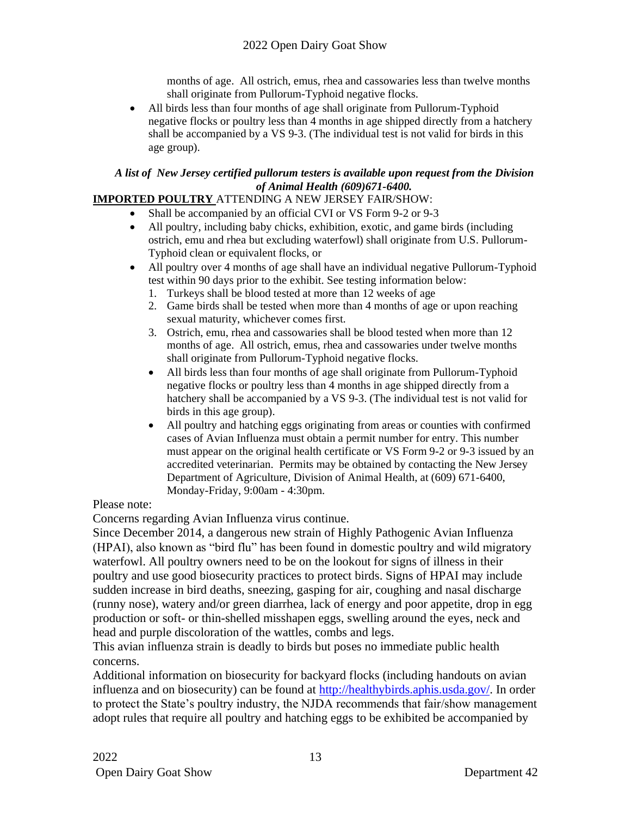months of age. All ostrich, emus, rhea and cassowaries less than twelve months shall originate from Pullorum-Typhoid negative flocks.

• All birds less than four months of age shall originate from Pullorum-Typhoid negative flocks or poultry less than 4 months in age shipped directly from a hatchery shall be accompanied by a VS 9-3. (The individual test is not valid for birds in this age group).

### *A list of New Jersey certified pullorum testers is available upon request from the Division of Animal Health (609)671-6400.*

### **IMPORTED POULTRY** ATTENDING A NEW JERSEY FAIR/SHOW:

- Shall be accompanied by an official CVI or VS Form 9-2 or 9-3
- All poultry, including baby chicks, exhibition, exotic, and game birds (including ostrich, emu and rhea but excluding waterfowl) shall originate from U.S. Pullorum-Typhoid clean or equivalent flocks, or
- All poultry over 4 months of age shall have an individual negative Pullorum-Typhoid test within 90 days prior to the exhibit. See testing information below:
	- 1. Turkeys shall be blood tested at more than 12 weeks of age
	- 2. Game birds shall be tested when more than 4 months of age or upon reaching sexual maturity, whichever comes first.
	- 3. Ostrich, emu, rhea and cassowaries shall be blood tested when more than 12 months of age. All ostrich, emus, rhea and cassowaries under twelve months shall originate from Pullorum-Typhoid negative flocks.
	- All birds less than four months of age shall originate from Pullorum-Typhoid negative flocks or poultry less than 4 months in age shipped directly from a hatchery shall be accompanied by a VS 9-3. (The individual test is not valid for birds in this age group).
	- All poultry and hatching eggs originating from areas or counties with confirmed cases of Avian Influenza must obtain a permit number for entry. This number must appear on the original health certificate or VS Form 9-2 or 9-3 issued by an accredited veterinarian. Permits may be obtained by contacting the New Jersey Department of Agriculture, Division of Animal Health, at (609) 671-6400, Monday-Friday, 9:00am - 4:30pm.

### Please note:

Concerns regarding Avian Influenza virus continue.

Since December 2014, a dangerous new strain of Highly Pathogenic Avian Influenza (HPAI), also known as "bird flu" has been found in domestic poultry and wild migratory waterfowl. All poultry owners need to be on the lookout for signs of illness in their poultry and use good biosecurity practices to protect birds. Signs of HPAI may include sudden increase in bird deaths, sneezing, gasping for air, coughing and nasal discharge (runny nose), watery and/or green diarrhea, lack of energy and poor appetite, drop in egg production or soft- or thin-shelled misshapen eggs, swelling around the eyes, neck and head and purple discoloration of the wattles, combs and legs.

This avian influenza strain is deadly to birds but poses no immediate public health concerns.

Additional information on biosecurity for backyard flocks (including handouts on avian influenza and on biosecurity) can be found at [http://healthybirds.aphis.usda.gov/.](http://healthybirds.aphis.usda.gov/) In order to protect the State's poultry industry, the NJDA recommends that fair/show management adopt rules that require all poultry and hatching eggs to be exhibited be accompanied by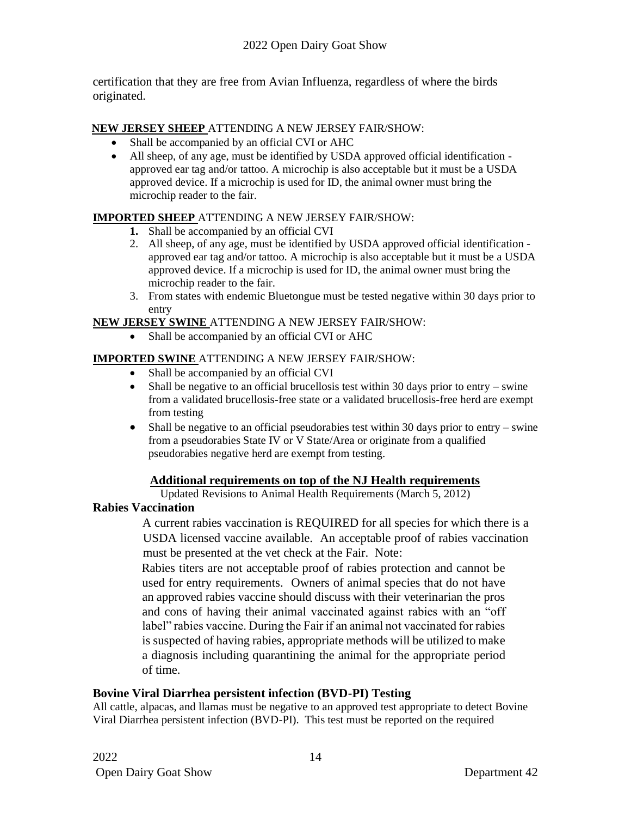certification that they are free from Avian Influenza, regardless of where the birds originated.

### **NEW JERSEY SHEEP** ATTENDING A NEW JERSEY FAIR/SHOW:

- Shall be accompanied by an official CVI or AHC
- All sheep, of any age, must be identified by USDA approved official identification approved ear tag and/or tattoo. A microchip is also acceptable but it must be a USDA approved device. If a microchip is used for ID, the animal owner must bring the microchip reader to the fair.

### **IMPORTED SHEEP** ATTENDING A NEW JERSEY FAIR/SHOW:

- **1.** Shall be accompanied by an official CVI
- 2. All sheep, of any age, must be identified by USDA approved official identification approved ear tag and/or tattoo. A microchip is also acceptable but it must be a USDA approved device. If a microchip is used for ID, the animal owner must bring the microchip reader to the fair.
- 3. From states with endemic Bluetongue must be tested negative within 30 days prior to entry

### **NEW JERSEY SWINE** ATTENDING A NEW JERSEY FAIR/SHOW:

• Shall be accompanied by an official CVI or AHC

### **IMPORTED SWINE** ATTENDING A NEW JERSEY FAIR/SHOW:

- Shall be accompanied by an official CVI
- Shall be negative to an official brucellosis test within 30 days prior to entry swine from a validated brucellosis-free state or a validated brucellosis-free herd are exempt from testing
- Shall be negative to an official pseudorabies test within 30 days prior to entry swine from a pseudorabies State IV or V State/Area or originate from a qualified pseudorabies negative herd are exempt from testing.

### **Additional requirements on top of the NJ Health requirements**

Updated Revisions to Animal Health Requirements (March 5, 2012)

### **Rabies Vaccination**

A current rabies vaccination is REQUIRED for all species for which there is a USDA licensed vaccine available. An acceptable proof of rabies vaccination must be presented at the vet check at the Fair. Note:

Rabies titers are not acceptable proof of rabies protection and cannot be used for entry requirements. Owners of animal species that do not have an approved rabies vaccine should discuss with their veterinarian the pros and cons of having their animal vaccinated against rabies with an "off label" rabies vaccine. During the Fair if an animal not vaccinated for rabies is suspected of having rabies, appropriate methods will be utilized to make a diagnosis including quarantining the animal for the appropriate period of time.

### **Bovine Viral Diarrhea persistent infection (BVD-PI) Testing**

All cattle, alpacas, and llamas must be negative to an approved test appropriate to detect Bovine Viral Diarrhea persistent infection (BVD-PI). This test must be reported on the required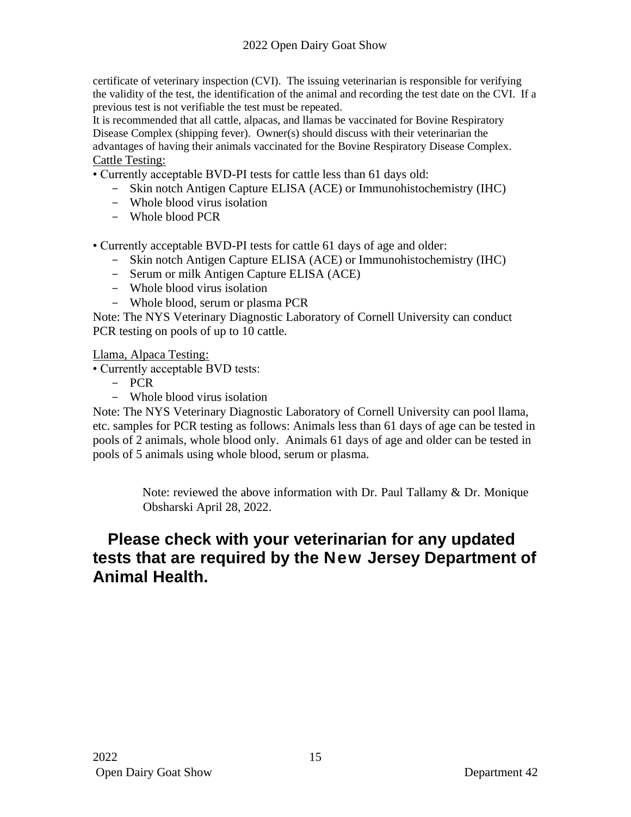certificate of veterinary inspection (CVI). The issuing veterinarian is responsible for verifying the validity of the test, the identification of the animal and recording the test date on the CVI. If a previous test is not verifiable the test must be repeated.

It is recommended that all cattle, alpacas, and llamas be vaccinated for Bovine Respiratory Disease Complex (shipping fever). Owner(s) should discuss with their veterinarian the advantages of having their animals vaccinated for the Bovine Respiratory Disease Complex. Cattle Testing:

• Currently acceptable BVD-PI tests for cattle less than 61 days old:

- Skin notch Antigen Capture ELISA (ACE) or Immunohistochemistry (IHC)
- Whole blood virus isolation
- Whole blood PCR

• Currently acceptable BVD-PI tests for cattle 61 days of age and older:

- Skin notch Antigen Capture ELISA (ACE) or Immunohistochemistry (IHC)
- Serum or milk Antigen Capture ELISA (ACE)
- Whole blood virus isolation
- Whole blood, serum or plasma PCR

Note: The NYS Veterinary Diagnostic Laboratory of Cornell University can conduct PCR testing on pools of up to 10 cattle.

Llama, Alpaca Testing:

• Currently acceptable BVD tests:

- PCR
- Whole blood virus isolation

Note: The NYS Veterinary Diagnostic Laboratory of Cornell University can pool llama, etc. samples for PCR testing as follows: Animals less than 61 days of age can be tested in pools of 2 animals, whole blood only. Animals 61 days of age and older can be tested in pools of 5 animals using whole blood, serum or plasma.

> Note: reviewed the above information with Dr. Paul Tallamy & Dr. Monique Obsharski April 28, 2022.

# **Please check with your veterinarian for any updated tests that are required by the New Jersey Department of Animal Health.**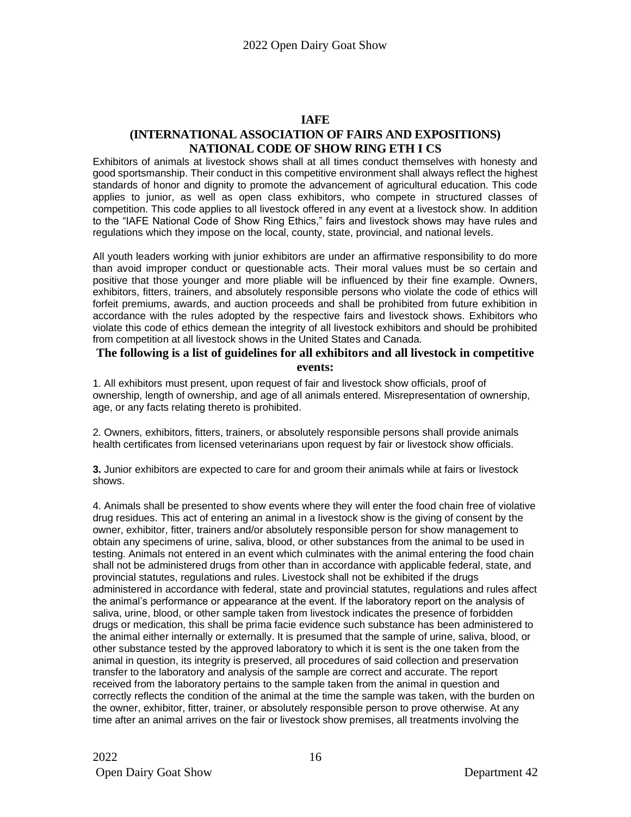### **IAFE**

#### **(INTERNATIONAL ASSOCIATION OF FAIRS AND EXPOSITIONS) NATIONAL CODE OF SHOW RING ETH I CS**

Exhibitors of animals at livestock shows shall at all times conduct themselves with honesty and good sportsmanship. Their conduct in this competitive environment shall always reflect the highest standards of honor and dignity to promote the advancement of agricultural education. This code applies to junior, as well as open class exhibitors, who compete in structured classes of competition. This code applies to all livestock offered in any event at a livestock show. In addition to the "IAFE National Code of Show Ring Ethics," fairs and livestock shows may have rules and regulations which they impose on the local, county, state, provincial, and national levels.

All youth leaders working with junior exhibitors are under an affirmative responsibility to do more than avoid improper conduct or questionable acts. Their moral values must be so certain and positive that those younger and more pliable will be influenced by their fine example. Owners, exhibitors, fitters, trainers, and absolutely responsible persons who violate the code of ethics will forfeit premiums, awards, and auction proceeds and shall be prohibited from future exhibition in accordance with the rules adopted by the respective fairs and livestock shows. Exhibitors who violate this code of ethics demean the integrity of all livestock exhibitors and should be prohibited from competition at all livestock shows in the United States and Canada.

#### **The following is a list of guidelines for all exhibitors and all livestock in competitive events:**

1. All exhibitors must present, upon request of fair and livestock show officials, proof of ownership, length of ownership, and age of all animals entered. Misrepresentation of ownership, age, or any facts relating thereto is prohibited.

2. Owners, exhibitors, fitters, trainers, or absolutely responsible persons shall provide animals health certificates from licensed veterinarians upon request by fair or livestock show officials.

**3.** Junior exhibitors are expected to care for and groom their animals while at fairs or livestock shows.

4. Animals shall be presented to show events where they will enter the food chain free of violative drug residues. This act of entering an animal in a livestock show is the giving of consent by the owner, exhibitor, fitter, trainers and/or absolutely responsible person for show management to obtain any specimens of urine, saliva, blood, or other substances from the animal to be used in testing. Animals not entered in an event which culminates with the animal entering the food chain shall not be administered drugs from other than in accordance with applicable federal, state, and provincial statutes, regulations and rules. Livestock shall not be exhibited if the drugs administered in accordance with federal, state and provincial statutes, regulations and rules affect the animal's performance or appearance at the event. If the laboratory report on the analysis of saliva, urine, blood, or other sample taken from livestock indicates the presence of forbidden drugs or medication, this shall be prima facie evidence such substance has been administered to the animal either internally or externally. It is presumed that the sample of urine, saliva, blood, or other substance tested by the approved laboratory to which it is sent is the one taken from the animal in question, its integrity is preserved, all procedures of said collection and preservation transfer to the laboratory and analysis of the sample are correct and accurate. The report received from the laboratory pertains to the sample taken from the animal in question and correctly reflects the condition of the animal at the time the sample was taken, with the burden on the owner, exhibitor, fitter, trainer, or absolutely responsible person to prove otherwise. At any time after an animal arrives on the fair or livestock show premises, all treatments involving the